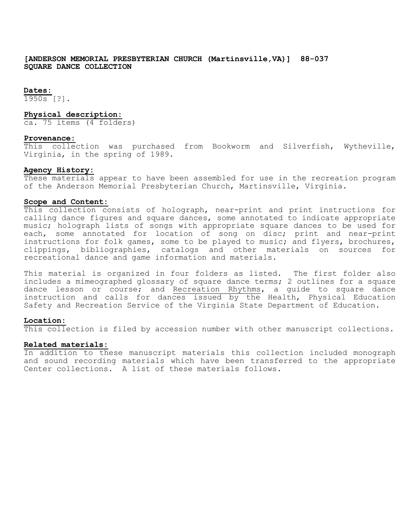**[ANDERSON MEMORIAL PRESBYTERIAN CHURCH (Martinsville,VA)] 88-037 SQUARE DANCE COLLECTION**

## **Dates:**

 $1950s$  [?].

#### **Physical description:**

ca. 75 items (4 folders)

## **Provenance:**

This collection was purchased from Bookworm and Silverfish, Wytheville, Virginia, in the spring of 1989.

#### **Agency History:**

These materials appear to have been assembled for use in the recreation program of the Anderson Memorial Presbyterian Church, Martinsville, Virginia.

## **Scope and Content:**

This collection consists of holograph, near-print and print instructions for calling dance figures and square dances, some annotated to indicate appropriate music; holograph lists of songs with appropriate square dances to be used for each, some annotated for location of song on disc; print and near-print instructions for folk games, some to be played to music; and flyers, brochures, clippings, bibliographies, catalogs and other materials on sources for recreational dance and game information and materials.

This material is organized in four folders as listed. The first folder also includes a mimeographed glossary of square dance terms; 2 outlines for a square dance lesson or course; and Recreation Rhythms, a guide to square dance instruction and calls for dances issued by the Health, Physical Education Safety and Recreation Service of the Virginia State Department of Education.

#### **Location:**

This collection is filed by accession number with other manuscript collections.

#### **Related materials:**

In addition to these manuscript materials this collection included monograph and sound recording materials which have been transferred to the appropriate Center collections. A list of these materials follows.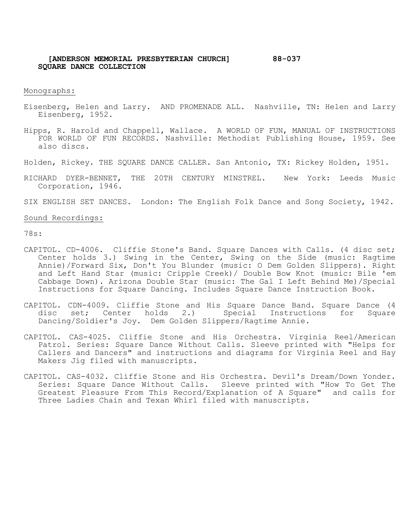# **[ANDERSON MEMORIAL PRESBYTERIAN CHURCH] 88-037 SQUARE DANCE COLLECTION**

Monographs:

- Eisenberg, Helen and Larry. AND PROMENADE ALL. Nashville, TN: Helen and Larry Eisenberg, 1952.
- Hipps, R. Harold and Chappell, Wallace. A WORLD OF FUN, MANUAL OF INSTRUCTIONS FOR WORLD OF FUN RECORDS. Nashville: Methodist Publishing House, 1959. See also discs.
- Holden, Rickey. THE SQUARE DANCE CALLER. San Antonio, TX: Rickey Holden, 1951.
- RICHARD DYER-BENNET, THE 20TH CENTURY MINSTREL. New York: Leeds Music Corporation, 1946.
- SIX ENGLISH SET DANCES. London: The English Folk Dance and Song Society, 1942.

#### Sound Recordings:

78s:

- CAPITOL. CD-4006. Cliffie Stone's Band. Square Dances with Calls. (4 disc set; Center holds 3.) Swing in the Center, Swing on the Side (music: Ragtime Annie)/Forward Six, Don't You Blunder (music: O Dem Golden Slippers). Right and Left Hand Star (music: Cripple Creek)/ Double Bow Knot (music: Bile 'em Cabbage Down). Arizona Double Star (music: The Gal I Left Behind Me)/Special Instructions for Square Dancing. Includes Square Dance Instruction Book.
- CAPITOL. CDN-4009. Cliffie Stone and His Square Dance Band. Square Dance (4 disc set; Center holds 2.) Special Instructions for Square Special Instructions for Square Dancing/Soldier's Joy. Dem Golden Slippers/Ragtime Annie.
- CAPITOL. CAS-4025. Cliffie Stone and His Orchestra. Virginia Reel/American Patrol. Series: Square Dance Without Calls. Sleeve printed with "Helps for Callers and Dancers" and instructions and diagrams for Virginia Reel and Hay Makers Jig filed with manuscripts.
- CAPITOL. CAS-4032. Cliffie Stone and His Orchestra. Devil's Dream/Down Yonder. Series: Square Dance Without Calls. Sleeve printed with "How To Get The Greatest Pleasure From This Record/Explanation of A Square" and calls for Three Ladies Chain and Texan Whirl filed with manuscripts.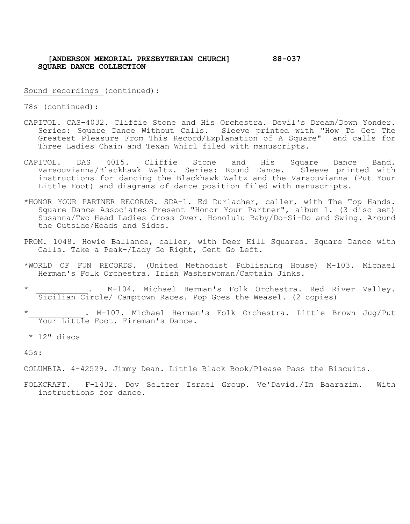# **[ANDERSON MEMORIAL PRESBYTERIAN CHURCH] 88-037 SQUARE DANCE COLLECTION**

Sound recordings (continued):

78s (continued):

- CAPITOL. CAS-4032. Cliffie Stone and His Orchestra. Devil's Dream/Down Yonder. Series: Square Dance Without Calls. Sleeve printed with "How To Get The Greatest Pleasure From This Record/Explanation of A Square" and calls for Three Ladies Chain and Texan Whirl filed with manuscripts.
- CAPITOL. DAS 4015. Cliffie Stone and His Square Dance Band. Varsouvianna/Blackhawk Waltz. Series: Round Dance. Sleeve printed with instructions for dancing the Blackhawk Waltz and the Varsouvianna (Put Your Little Foot) and diagrams of dance position filed with manuscripts.
- \*HONOR YOUR PARTNER RECORDS. SDA-1. Ed Durlacher, caller, with The Top Hands. Square Dance Associates Present "Honor Your Partner", album 1. (3 disc set) Susanna/Two Head Ladies Cross Over. Honolulu Baby/Do-Si-Do and Swing. Around the Outside/Heads and Sides.
- PROM. 1048. Howie Ballance, caller, with Deer Hill Squares. Square Dance with Calls. Take a Peak-/Lady Go Right, Gent Go Left.
- \*WORLD OF FUN RECORDS. (United Methodist Publishing House) M-103. Michael Herman's Folk Orchestra. Irish Washerwoman/Captain Jinks.
- M-104. Michael Herman's Folk Orchestra. Red River Valley. Sicilian Circle/ Camptown Races. Pop Goes the Weasel. (2 copies)
- . M-107. Michael Herman's Folk Orchestra. Little Brown Jug/Put Your Little Foot. Fireman's Dance.

\* 12" discs

45s:

COLUMBIA. 4-42529. Jimmy Dean. Little Black Book/Please Pass the Biscuits.

FOLKCRAFT. F-1432. Dov Seltzer Israel Group. Ve'David./Im Baarazim. With instructions for dance.